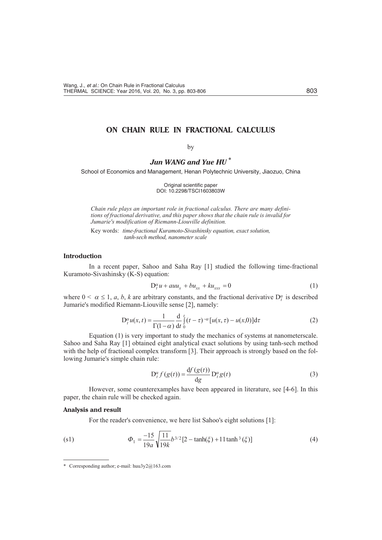# ON CHAIN RULE IN FRACTIONAL CALCULUS

# by

Jun WANG and Yue HIJ\*

School of Economics and Management, Henan Polytechnic University, Jiaozuo, China

Original scientific paper DOI: 10.2298/TSCI1603803W

Chain rule plays an important role in fractional calculus. There are many definitions of fractional derivative, and this paper shows that the chain rule is invalid for Jumarie's modification of Riemann-Liouville definition.

Key words: time-fractional Kuramoto-Sivashinsky equation, exact solution, tanh-sech method, nanometer scale

#### **Introduction**

In a recent paper, Sahoo and Saha Ray [1] studied the following time-fractional Kuramoto-Sivashinsky (K-S) equation:

$$
D_t^{\alpha} u \quad a u u_x \quad b u_{xx} \quad k u_{xxx} \quad 0 \tag{1}
$$

where  $0 \le \alpha - 1$ , a, b, k are arbitrary constants, and the fractional derivative  $D_t^{\alpha}$  is described Jumarie's modified Riemann-Liouville sense [2], namely:

$$
D_t^{\alpha} u(x, t) = \frac{1}{\Gamma(1-\alpha)} \frac{d}{dt} \Big|_{t=0}^{t} (t-\tau)^{-\alpha} [u(x, \tau) - u(x, 0)] d\tau \tag{2}
$$

Equation (1) is very important to study the mechanics of systems at nanometerscale. Sahoo and Saha Ray [1] obtained eight analytical exact solutions by using tanh-sech method with the help of fractional complex transform [3]. Their approach is strongly based on the following Jumarie's simple chain rule:

$$
D_t^{\alpha} f(g(t)) \frac{\mathrm{d}f(g(t))}{\mathrm{d}g} D_t^{\alpha} g(t) \tag{3}
$$

However, some counterexamples have been appeared in literature, see [4-6]. In this paper, the chain rule will be checked again.

#### Analysis and result

For the reader's convenience, we here list Sahoo's eight solutions [1]:

(s1) 
$$
\Phi_1 = \frac{15}{19a} \sqrt{\frac{11}{19k}} b^{3/2} [2 \tanh(\xi) \t 11 \tanh^3(\xi)]
$$
 (4)

<sup>\*</sup> Corresponding author; e-mail: huu3y2@163.com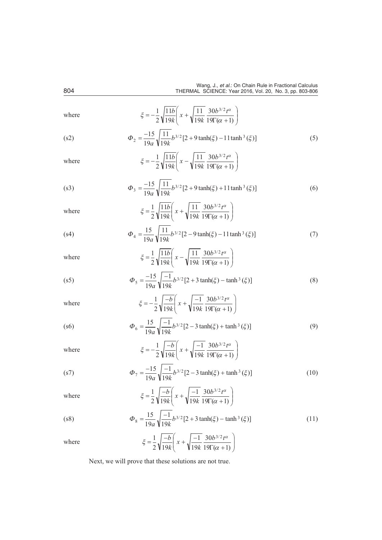| where | $\xi = \frac{1}{2} \sqrt{\frac{11b}{19k}} x \sqrt{\frac{11}{19k} \frac{30b^{3/2}t^{\alpha}}{19\Gamma(\alpha - 1)}}$ |      |
|-------|---------------------------------------------------------------------------------------------------------------------|------|
| (s2)  | $\Phi_2$ $\frac{15}{10g} \sqrt{\frac{11}{10k} b^{3/2} [2 \quad 9 \tanh(\xi) \quad 11 \tanh^3(\xi)]}$                | (5)  |
| where | $\xi = \frac{1}{2} \sqrt{\frac{11b}{19k}} x \sqrt{\frac{11}{19k} \frac{30b^{3/2}t^{\alpha}}{19\Gamma(\alpha-1)}}$   |      |
| (s3)  | $\Phi_3$ $\frac{15}{105} \sqrt{\frac{11}{104}} b^{3/2} [2 \quad 9 \tanh(\xi) \quad 11 \tanh^3(\xi)]$                | (6)  |
| where | $\xi = \frac{1}{2} \sqrt{\frac{11b}{10k}} x + \sqrt{\frac{11}{10k}} \frac{30b^{3/2}t^{\alpha}}{10\sqrt{10}}$        |      |
| (s4)  | $\Phi_4 = \frac{15}{105} \sqrt{\frac{11}{10^6} b^{3/2} [2 + 9 \tanh(\xi) + 11 \tanh^3(\xi)]}$                       | (7)  |
| where | $\xi = \frac{1}{2} \sqrt{\frac{11b}{10k}} x - \sqrt{\frac{11}{10k}} \frac{30b^{3/2}t^{\alpha}}{10k^2}$              |      |
| (s5)  | $\Phi_5 = \frac{15}{10} \sqrt{\frac{1}{10!} b^{3/2} [2 \quad 3 \tanh(\xi) \quad \tanh^3(\xi)]}$                     | (8)  |
| where | $\xi = \frac{1}{2} \sqrt{\frac{b}{10L}} x - \sqrt{\frac{1}{10L}} \frac{30b^{3/2}t^{\alpha}}{100C}$                  |      |
| (s6)  | $\Phi_6 = \frac{15}{10} \sqrt{\frac{1}{10L} b^{3/2} [2 + 3 \tanh(\xi) + \tanh^3(\xi)]}$                             | (9)  |
| where | $\xi = \frac{1}{2} \sqrt{\frac{b}{10L}} x + \sqrt{\frac{1}{10L} \frac{30b^{3/2}t^{\alpha}}{10\sqrt{t^{2}}}}$        |      |
| (s7)  | $\Phi_7$ $\frac{15}{10}$ $\sqrt{\frac{1}{10!}}b^{3/2}[2 \quad 3 \tanh(\xi) \quad \tanh^3(\xi)]$                     | (10) |
| where | $\xi = \frac{1}{2} \sqrt{\frac{b}{19k}} x + \sqrt{\frac{1}{19k} \frac{30b^{3/2}t^{\alpha}}{19\Gamma(\alpha-1)}}$    |      |
| (s8)  | $\Phi_8$ $\frac{15}{19a} \sqrt{\frac{1}{19k}} b^{3/2} [2 \quad 3 \tanh(\xi) \quad \tanh^3(\xi)]$                    | (11) |
| where | $\xi$ $\frac{1}{2}\sqrt{\frac{b}{19k}}$ x $\sqrt{\frac{1}{19k}\frac{30b^{3/2}t^{\alpha}}{19\Gamma(\alpha-1)}}$      |      |

Next, we will prove that these solutions are not true.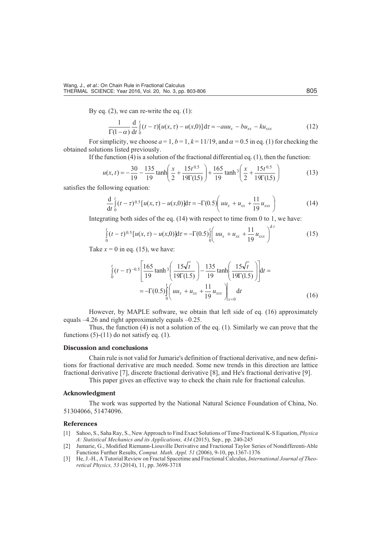By eq.  $(2)$ , we can re-write the eq.  $(1)$ :

$$
\frac{1}{\Gamma(1-\alpha)}\frac{d}{dt}^{t}_{0}(t-\tau)[u(x,\tau) - u(x,0)]d\tau \quad auu_{x} \quad bu_{xx} \quad ku_{xxx}
$$
\n(12)

For simplicity, we choose  $a = 1$ ,  $b = 1$ ,  $k = 11/19$ , and  $\alpha = 0.5$  in eq. (1) for checking the obtained solutions listed previously.

If the function  $(4)$  is a solution of the fractional differential eq.  $(1)$ , then the function:

$$
u(x,t) = \frac{30}{19} - \frac{135}{19} \tanh \frac{x}{2} - \frac{15t^{0.5}}{19\Gamma(1.5)} = \frac{165}{19} \tanh^3 \frac{x}{2} - \frac{15t^{0.5}}{19\Gamma(1.5)}
$$
(13)

satisfies the following equation:

$$
\frac{d}{dt} \Big|_{0}^{t} (t - \tau)^{0.5} [u(x, \tau) - u(x, 0)] \, d\tau \quad \Gamma(0.5) \, u u_x \, u_{xx} \, \frac{11}{19} u_{xxx} \tag{14}
$$

Integrating both sides of the eq.  $(14)$  with respect to time from 0 to 1, we have:

$$
\int_{0}^{t} (t-\tau)^{0.5} [u(x,\tau) - u(x,0)] \mathrm{d}\tau \qquad \Gamma(0.5) \int_{0}^{t} u u_x \qquad u_{xx} \qquad \frac{11}{19} u_{xxx} \qquad (15)
$$

Take  $x = 0$  in eq. (15), we have:

$$
\int_{0}^{t} (t - \tau)^{-0.5} \frac{165}{19} \tanh^{3} \frac{15\sqrt{t}}{19\Gamma(1.5)} \frac{135}{19} \tanh \frac{15\sqrt{t}}{19\Gamma(1.5)} dt
$$
  

$$
\Gamma(0.5) \int_{0}^{1} u u_x \quad u_{xx} \quad \frac{11}{19} u_{xxx} \Big|_{x=0} dt
$$
 (16)

However, by MAPLE software, we obtain that left side of eq.  $(16)$  approximately equals  $-4.26$  and right approximately equals  $-0.25$ .

Thus, the function (4) is not a solution of the eq. (1). Similarly we can prove that the functions  $(5)-(11)$  do not satisfy eq.  $(1)$ .

# **Dis cus sion and con clu sions**

Chain rule is not valid for Jumarie's definition of fractional derivative, and new definitions for fractional derivative are much needed. Some new trends in this direction are lattice fractional derivative [7], discrete fractional derivative [8], and He's fractional derivative [9].

This paper gives an effective way to check the chain rule for fractional calculus.

### **Acknowledgment**

The work was supported by the National Natural Science Foundation of China, No. 51304066, 51474096.

## **Ref er ences**

- [1] Sahoo, S., Saha Ray, S., New Approach to Find Exact Solutions of Time-Fractional K-S Equation, *Physica* A: Statistical Mechanics and its Applications, 434 (2015), Sep., pp. 240-245
- [2] Jumarie, G., Modified Riemann-Liouville Derivative and Fractional Taylor Series of Nondifferenti-Able Functions Further Results, *Comput. Math. Appl. 51* (2006), 9-10, pp.1367-1376
- [3] He, J.-H., A Tutorial Review on Fractal Spacetime and Fractional Calculus, *International Journal of Theoret i cal Phys ics, 53* (2014), 11, pp. 3698-3718